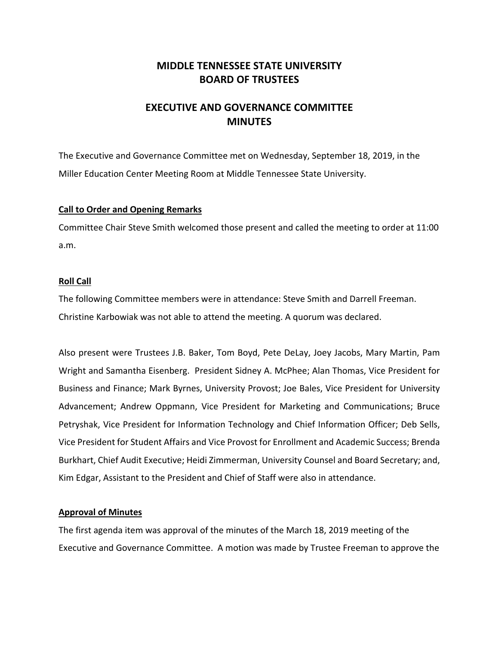## **MIDDLE TENNESSEE STATE UNIVERSITY BOARD OF TRUSTEES**

# **EXECUTIVE AND GOVERNANCE COMMITTEE MINUTES**

The Executive and Governance Committee met on Wednesday, September 18, 2019, in the Miller Education Center Meeting Room at Middle Tennessee State University.

### **Call to Order and Opening Remarks**

Committee Chair Steve Smith welcomed those present and called the meeting to order at 11:00 a.m.

### **Roll Call**

The following Committee members were in attendance: Steve Smith and Darrell Freeman. Christine Karbowiak was not able to attend the meeting. A quorum was declared.

Also present were Trustees J.B. Baker, Tom Boyd, Pete DeLay, Joey Jacobs, Mary Martin, Pam Wright and Samantha Eisenberg. President Sidney A. McPhee; Alan Thomas, Vice President for Business and Finance; Mark Byrnes, University Provost; Joe Bales, Vice President for University Advancement; Andrew Oppmann, Vice President for Marketing and Communications; Bruce Petryshak, Vice President for Information Technology and Chief Information Officer; Deb Sells, Vice President for Student Affairs and Vice Provost for Enrollment and Academic Success; Brenda Burkhart, Chief Audit Executive; Heidi Zimmerman, University Counsel and Board Secretary; and, Kim Edgar, Assistant to the President and Chief of Staff were also in attendance.

### **Approval of Minutes**

The first agenda item was approval of the minutes of the March 18, 2019 meeting of the Executive and Governance Committee. A motion was made by Trustee Freeman to approve the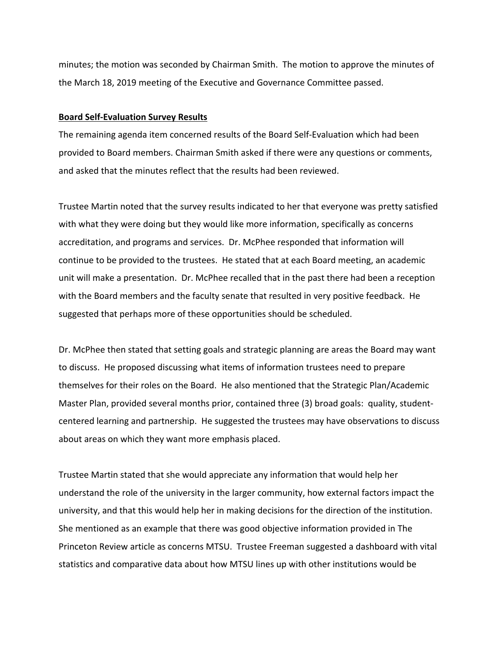minutes; the motion was seconded by Chairman Smith. The motion to approve the minutes of the March 18, 2019 meeting of the Executive and Governance Committee passed.

#### **Board Self‐Evaluation Survey Results**

The remaining agenda item concerned results of the Board Self‐Evaluation which had been provided to Board members. Chairman Smith asked if there were any questions or comments, and asked that the minutes reflect that the results had been reviewed.

Trustee Martin noted that the survey results indicated to her that everyone was pretty satisfied with what they were doing but they would like more information, specifically as concerns accreditation, and programs and services. Dr. McPhee responded that information will continue to be provided to the trustees. He stated that at each Board meeting, an academic unit will make a presentation. Dr. McPhee recalled that in the past there had been a reception with the Board members and the faculty senate that resulted in very positive feedback. He suggested that perhaps more of these opportunities should be scheduled.

Dr. McPhee then stated that setting goals and strategic planning are areas the Board may want to discuss. He proposed discussing what items of information trustees need to prepare themselves for their roles on the Board. He also mentioned that the Strategic Plan/Academic Master Plan, provided several months prior, contained three (3) broad goals: quality, studentcentered learning and partnership. He suggested the trustees may have observations to discuss about areas on which they want more emphasis placed.

Trustee Martin stated that she would appreciate any information that would help her understand the role of the university in the larger community, how external factors impact the university, and that this would help her in making decisions for the direction of the institution. She mentioned as an example that there was good objective information provided in The Princeton Review article as concerns MTSU. Trustee Freeman suggested a dashboard with vital statistics and comparative data about how MTSU lines up with other institutions would be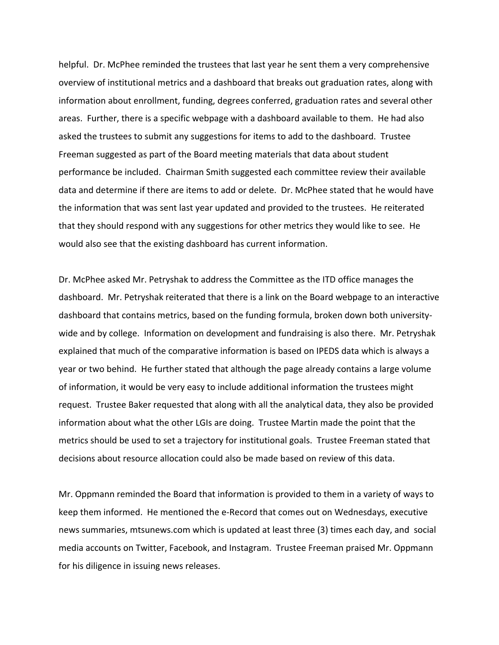helpful. Dr. McPhee reminded the trustees that last year he sent them a very comprehensive overview of institutional metrics and a dashboard that breaks out graduation rates, along with information about enrollment, funding, degrees conferred, graduation rates and several other areas. Further, there is a specific webpage with a dashboard available to them. He had also asked the trustees to submit any suggestions for items to add to the dashboard. Trustee Freeman suggested as part of the Board meeting materials that data about student performance be included. Chairman Smith suggested each committee review their available data and determine if there are items to add or delete. Dr. McPhee stated that he would have the information that was sent last year updated and provided to the trustees. He reiterated that they should respond with any suggestions for other metrics they would like to see. He would also see that the existing dashboard has current information.

Dr. McPhee asked Mr. Petryshak to address the Committee as the ITD office manages the dashboard. Mr. Petryshak reiterated that there is a link on the Board webpage to an interactive dashboard that contains metrics, based on the funding formula, broken down both university‐ wide and by college. Information on development and fundraising is also there. Mr. Petryshak explained that much of the comparative information is based on IPEDS data which is always a year or two behind. He further stated that although the page already contains a large volume of information, it would be very easy to include additional information the trustees might request. Trustee Baker requested that along with all the analytical data, they also be provided information about what the other LGIs are doing. Trustee Martin made the point that the metrics should be used to set a trajectory for institutional goals. Trustee Freeman stated that decisions about resource allocation could also be made based on review of this data.

Mr. Oppmann reminded the Board that information is provided to them in a variety of ways to keep them informed. He mentioned the e‐Record that comes out on Wednesdays, executive news summaries, mtsunews.com which is updated at least three (3) times each day, and social media accounts on Twitter, Facebook, and Instagram. Trustee Freeman praised Mr. Oppmann for his diligence in issuing news releases.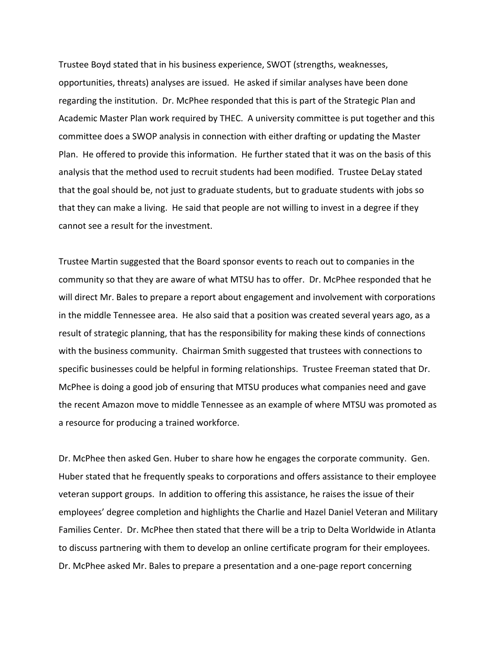Trustee Boyd stated that in his business experience, SWOT (strengths, weaknesses, opportunities, threats) analyses are issued. He asked if similar analyses have been done regarding the institution. Dr. McPhee responded that this is part of the Strategic Plan and Academic Master Plan work required by THEC. A university committee is put together and this committee does a SWOP analysis in connection with either drafting or updating the Master Plan. He offered to provide this information. He further stated that it was on the basis of this analysis that the method used to recruit students had been modified. Trustee DeLay stated that the goal should be, not just to graduate students, but to graduate students with jobs so that they can make a living. He said that people are not willing to invest in a degree if they cannot see a result for the investment.

Trustee Martin suggested that the Board sponsor events to reach out to companies in the community so that they are aware of what MTSU has to offer. Dr. McPhee responded that he will direct Mr. Bales to prepare a report about engagement and involvement with corporations in the middle Tennessee area. He also said that a position was created several years ago, as a result of strategic planning, that has the responsibility for making these kinds of connections with the business community. Chairman Smith suggested that trustees with connections to specific businesses could be helpful in forming relationships. Trustee Freeman stated that Dr. McPhee is doing a good job of ensuring that MTSU produces what companies need and gave the recent Amazon move to middle Tennessee as an example of where MTSU was promoted as a resource for producing a trained workforce.

Dr. McPhee then asked Gen. Huber to share how he engages the corporate community. Gen. Huber stated that he frequently speaks to corporations and offers assistance to their employee veteran support groups. In addition to offering this assistance, he raises the issue of their employees' degree completion and highlights the Charlie and Hazel Daniel Veteran and Military Families Center. Dr. McPhee then stated that there will be a trip to Delta Worldwide in Atlanta to discuss partnering with them to develop an online certificate program for their employees. Dr. McPhee asked Mr. Bales to prepare a presentation and a one‐page report concerning